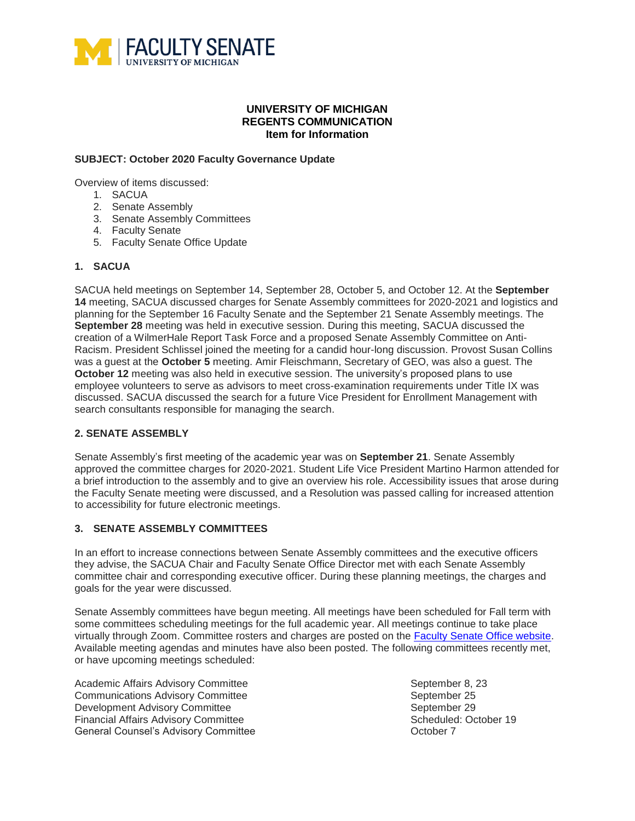

## **UNIVERSITY OF MICHIGAN REGENTS COMMUNICATION Item for Information**

#### **SUBJECT: October 2020 Faculty Governance Update**

Overview of items discussed:

- 1. SACUA
- 2. Senate Assembly
- 3. Senate Assembly Committees
- 4. Faculty Senate
- 5. Faculty Senate Office Update

## **1. SACUA**

SACUA held meetings on September 14, September 28, October 5, and October 12. At the **September 14** meeting, SACUA discussed charges for Senate Assembly committees for 2020-2021 and logistics and planning for the September 16 Faculty Senate and the September 21 Senate Assembly meetings. The **September 28** meeting was held in executive session. During this meeting, SACUA discussed the creation of a WilmerHale Report Task Force and a proposed Senate Assembly Committee on Anti-Racism. President Schlissel joined the meeting for a candid hour-long discussion. Provost Susan Collins was a guest at the **October 5** meeting. Amir Fleischmann, Secretary of GEO, was also a guest. The **October 12** meeting was also held in executive session. The university's proposed plans to use employee volunteers to serve as advisors to meet cross-examination requirements under Title IX was discussed. SACUA discussed the search for a future Vice President for Enrollment Management with search consultants responsible for managing the search.

## **2. SENATE ASSEMBLY**

Senate Assembly's first meeting of the academic year was on **September 21**. Senate Assembly approved the committee charges for 2020-2021. Student Life Vice President Martino Harmon attended for a brief introduction to the assembly and to give an overview his role. Accessibility issues that arose during the Faculty Senate meeting were discussed, and a Resolution was passed calling for increased attention to accessibility for future electronic meetings.

#### **3. SENATE ASSEMBLY COMMITTEES**

In an effort to increase connections between Senate Assembly committees and the executive officers they advise, the SACUA Chair and Faculty Senate Office Director met with each Senate Assembly committee chair and corresponding executive officer. During these planning meetings, the charges and goals for the year were discussed.

Senate Assembly committees have begun meeting. All meetings have been scheduled for Fall term with some committees scheduling meetings for the full academic year. All meetings continue to take place virtually through Zoom. Committee rosters and charges are posted on the [Faculty Senate Office website.](https://facultysenate.umich.edu/committees/) Available meeting agendas and minutes have also been posted. The following committees recently met, or have upcoming meetings scheduled:

Academic Affairs Advisory Committee September 8, 23 **Communications Advisory Committee September 25** Development Advisory Committee <br>
Financial Affairs Advisory Committee September 29<br>
Scheduled: October 19 Financial Affairs Advisory Committee General Counsel's Advisory Committee **Communists** Conserved Counsel's Advisory Committee